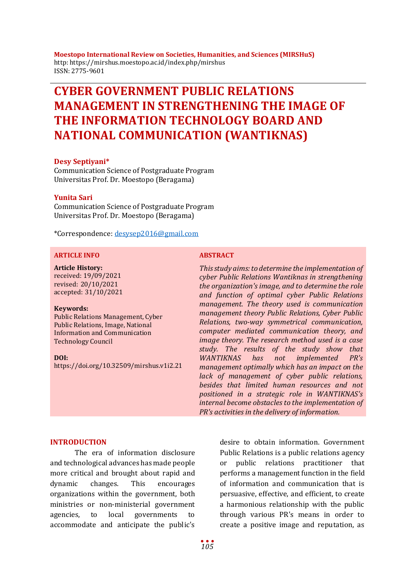**Moestopo International Review on Societies, Humanities, and Sciences (MIRSHuS)** http: https://mirshus.moestopo.ac.id/index.php/mirshus ISSN: 2775-9601

# **CYBER GOVERNMENT PUBLIC RELATIONS MANAGEMENT IN STRENGTHENING THE IMAGE OF THE INFORMATION TECHNOLOGY BOARD AND NATIONAL COMMUNICATION (WANTIKNAS)**

### **Desy Septiyani\***

Communication Science of Postgraduate Program Universitas Prof. Dr. Moestopo (Beragama)

#### **Yunita Sari**

Communication Science of Postgraduate Program Universitas Prof. Dr. Moestopo (Beragama)

\*Correspondence: [desysep2016@gmail.com](mailto:desysep2016@gmail.com)

### **ARTICLE INFO ABSTRACT**

**Article History:** received: 19/09/2021 revised: 20/10/2021 accepted: 31/10/2021

#### **Keywords:**

Public Relations Management, Cyber Public Relations, Image, National Information and Communication Technology Council

**DOI:**

https://doi.org/10.32509/mirshus.v1i2.21

*This study aims: to determine the implementation of cyber Public Relations Wantiknas in strengthening the organization's image, and to determine the role and function of optimal cyber Public Relations management. The theory used is communication management theory Public Relations, Cyber Public Relations, two-way symmetrical communication, computer mediated communication theory, and image theory. The research method used is a case study. The results of the study show that WANTIKNAS has not implemented PR's management optimally which has an impact on the lack of management of cyber public relations, besides that limited human resources and not positioned in a strategic role in WANTIKNAS's internal become obstacles to the implementation of PR's activities in the delivery of information.*

#### **INTRODUCTION**

The era of information disclosure and technological advances has made people more critical and brought about rapid and dynamic changes. This encourages organizations within the government, both ministries or non-ministerial government agencies, to local governments to accommodate and anticipate the public's desire to obtain information. Government Public Relations is a public relations agency or public relations practitioner that performs a management function in the field of information and communication that is persuasive, effective, and efficient, to create a harmonious relationship with the public through various PR's means in order to create a positive image and reputation, as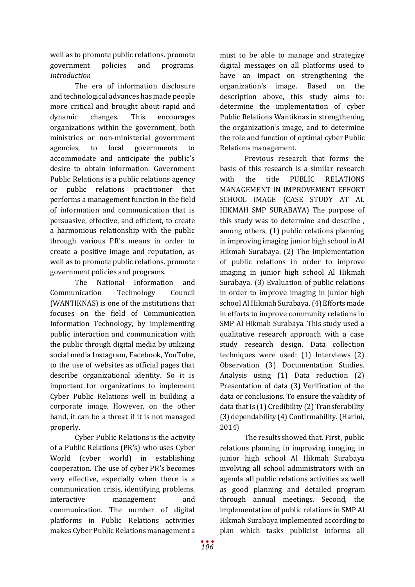well as to promote public relations. promote government policies and programs. *Introduction*

The era of information disclosure and technological advances has made people more critical and brought about rapid and dynamic changes. This encourages organizations within the government, both ministries or non-ministerial government agencies, to local governments to accommodate and anticipate the public's desire to obtain information. Government Public Relations is a public relations agency or public relations practitioner that performs a management function in the field of information and communication that is persuasive, effective, and efficient, to create a harmonious relationship with the public through various PR's means in order to create a positive image and reputation, as well as to promote public relations. promote government policies and programs.

The National Information and Communication Technology Council (WANTIKNAS) is one of the institutions that focuses on the field of Communication Information Technology, by implementing public interaction and communication with the public through digital media by utilizing social media Instagram, Facebook, YouTube, to the use of websites as official pages that describe organizational identity. So it is important for organizations to implement Cyber Public Relations well in building a corporate image. However, on the other hand, it can be a threat if it is not managed properly.

Cyber Public Relations is the activity of a Public Relations (PR's) who uses Cyber World (cyber world) in establishing cooperation. The use of cyber PR's becomes very effective, especially when there is a communication crisis, identifying problems, interactive management and communication. The number of digital platforms in Public Relations activities makes Cyber Public Relations management a

must to be able to manage and strategize digital messages on all platforms used to have an impact on strengthening the organization's image. Based on the description above, this study aims to: determine the implementation of cyber Public Relations Wantiknas in strengthening the organization's image, and to determine the role and function of optimal cyber Public Relations management.

Previous research that forms the basis of this research is a similar research<br>with the title PUBLIC RELATIONS with the title PUBLIC RELATIONS MANAGEMENT IN IMPROVEMENT EFFORT SCHOOL IMAGE (CASE STUDY AT AL HIKMAH SMP SURABAYA) The purpose of this study was to determine and describe , among others, (1) public relations planning in improving imaging junior high school in Al Hikmah Surabaya. (2) The implementation of public relations in order to improve imaging in junior high school Al Hikmah Surabaya. (3) Evaluation of public relations in order to improve imaging in junior high school Al Hikmah Surabaya. (4) Efforts made in efforts to improve community relations in SMP Al Hikmah Surabaya. This study used a qualitative research approach with a case study research design. Data collection techniques were used: (1) Interviews (2) Observation (3) Documentation Studies. Analysis using (1) Data reduction (2) Presentation of data (3) Verification of the data or conclusions. To ensure the validity of data that is (1) Credibility (2) Transferability (3) dependability (4) Confirmability. (Harini, 2014)

The results showed that. First , public relations planning in improving imaging in junior high school Al Hikmah Surabaya involving all school administrators with an agenda all public relations activities as well as good planning and detailed program through annual meetings. Second, the implementation of public relations in SMP Al Hikmah Surabaya implemented according to plan which tasks publicist informs all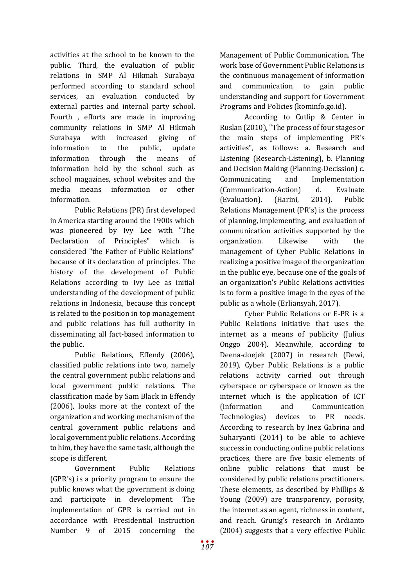activities at the school to be known to the public. Third, the evaluation of public relations in SMP Al Hikmah Surabaya performed according to standard school services, an evaluation conducted by external parties and internal party school. Fourth , efforts are made in improving community relations in SMP Al Hikmah<br>Surabaya with increased giving of Surabaya with increased giving of information to the public, update information through the means of information held by the school such as school magazines, school websites and the media means information or other information.

Public Relations (PR) first developed in America starting around the 1900s which was pioneered by Ivy Lee with "The Declaration of Principles" which is considered "the Father of Public Relations" because of its declaration of principles. The history of the development of Public Relations according to Ivy Lee as initial understanding of the development of public relations in Indonesia, because this concept is related to the position in top management and public relations has full authority in disseminating all fact-based information to the public.

Public Relations, Effendy (2006), classified public relations into two, namely the central government public relations and local government public relations. The classification made by Sam Black in Effendy (2006), looks more at the context of the organization and working mechanism of the central government public relations and local government public relations. According to him, they have the same task, although the scope is different.

Government Public Relations (GPR's) is a priority program to ensure the public knows what the government is doing and participate in development. The implementation of GPR is carried out in accordance with Presidential Instruction Number 9 of 2015 concerning the

Management of Public Communication. The work base of Government Public Relations is the continuous management of information and communication to gain public understanding and support for Government Programs and Policies (kominfo.go.id).

According to Cutlip & Center in Ruslan (2010), "The process of four stages or the main steps of implementing PR's activities", as follows: a. Research and Listening (Research-Listening), b. Planning and Decision Making (Planning-Decission) c. Communicating and Implementation (Communication-Action) d. Evaluate (Evaluation). (Harini, 2014). Public Relations Management (PR's) is the process of planning, implementing, and evaluation of communication activities supported by the organization. Likewise with the management of Cyber Public Relations in realizing a positive image of the organization in the public eye, because one of the goals of an organization's Public Relations activities is to form a positive image in the eyes of the public as a whole (Erliansyah, 2017).

Cyber Public Relations or E-PR is a Public Relations initiative that uses the internet as a means of publicity (Julius Onggo 2004). Meanwhile, according to Deena-doejek (2007) in research (Dewi, 2019), Cyber Public Relations is a public relations activity carried out through cyberspace or cyberspace or known as the internet which is the application of ICT (Information and Communication Technologies) devices to PR needs. According to research by Inez Gabrina and Suharyanti (2014) to be able to achieve success in conducting online public relations practices, there are five basic elements of online public relations that must be considered by public relations practitioners. These elements, as described by Phillips & Young (2009) are transparency, porosity, the internet as an agent, richness in content, and reach. Grunig's research in Ardianto (2004) suggests that a very effective Public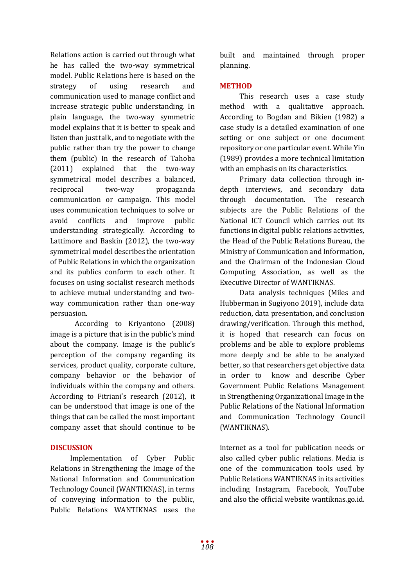Relations action is carried out through what he has called the two-way symmetrical model. Public Relations here is based on the strategy of using research and communication used to manage conflict and increase strategic public understanding. In plain language, the two-way symmetric model explains that it is better to speak and listen than just talk, and to negotiate with the public rather than try the power to change them (public) In the research of Tahoba (2011) explained that the two-way symmetrical model describes a balanced, reciprocal two-way propaganda communication or campaign. This model uses communication techniques to solve or avoid conflicts and improve public understanding strategically. According to Lattimore and Baskin (2012), the two-way symmetrical model describes the orientation of Public Relations in which the organization and its publics conform to each other. It focuses on using socialist research methods to achieve mutual understanding and twoway communication rather than one-way persuasion.

According to Kriyantono (2008) image is a picture that is in the public's mind about the company. Image is the public's perception of the company regarding its services, product quality, corporate culture, company behavior or the behavior of individuals within the company and others. According to Fitriani's research (2012), it can be understood that image is one of the things that can be called the most important company asset that should continue to be

# **DISCUSSION**

Implementation of Cyber Public Relations in Strengthening the Image of the National Information and Communication Technology Council (WANTIKNAS), in terms of conveying information to the public, Public Relations WANTIKNAS uses the

built and maintained through proper planning.

# **METHOD**

This research uses a case study method with a qualitative approach. According to Bogdan and Bikien (1982) a case study is a detailed examination of one setting or one subject or one document repository or one particular event. While Yin (1989) provides a more technical limitation with an emphasis on its characteristics.

Primary data collection through indepth interviews, and secondary data through documentation. The research subjects are the Public Relations of the National ICT Council which carries out its functions in digital public relations activities, the Head of the Public Relations Bureau, the Ministry of Communication and Information, and the Chairman of the Indonesian Cloud Computing Association, as well as the Executive Director of WANTIKNAS.

Data analysis techniques (Miles and Hubberman in Sugiyono 2019), include data reduction, data presentation, and conclusion drawing/verification. Through this method, it is hoped that research can focus on problems and be able to explore problems more deeply and be able to be analyzed better, so that researchers get objective data in order to know and describe Cyber Government Public Relations Management in Strengthening Organizational Image in the Public Relations of the National Information and Communication Technology Council (WANTIKNAS).

internet as a tool for publication needs or also called cyber public relations. Media is one of the communication tools used by Public Relations WANTIKNAS in its activities including Instagram, Facebook, YouTube and also the official website wantiknas.go.id.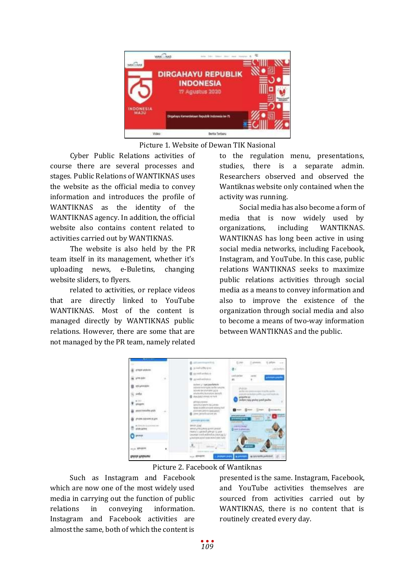

Picture 1. Website of Dewan TIK Nasional

Cyber Public Relations activities of course there are several processes and stages. Public Relations of WANTIKNAS uses the website as the official media to convey information and introduces the profile of WANTIKNAS as the identity of the WANTIKNAS agency. In addition, the official website also contains content related to activities carried out by WANTIKNAS.

The website is also held by the PR team itself in its management, whether it's uploading news, e-Buletins, changing website sliders, to flyers.

related to activities, or replace videos that are directly linked to YouTube WANTIKNAS. Most of the content is managed directly by WANTIKNAS public relations. However, there are some that are not managed by the PR team, namely related

to the regulation menu, presentations, studies, there is a separate admin. Researchers observed and observed the Wantiknas website only contained when the activity was running.

Social media has also become a form of media that is now widely used by organizations, including WANTIKNAS. WANTIKNAS has long been active in using social media networks, including Facebook, Instagram, and YouTube. In this case, public relations WANTIKNAS seeks to maximize public relations activities through social media as a means to convey information and also to improve the existence of the organization through social media and also to become a means of two-way information between WANTIKNAS and the public.



Picture 2. Facebook of Wantiknas

Such as Instagram and Facebook which are now one of the most widely used media in carrying out the function of public relations in conveying information. Instagram and Facebook activities are almost the same, both of which the content is

presented is the same. Instagram, Facebook, and YouTube activities themselves are sourced from activities carried out by WANTIKNAS, there is no content that is routinely created every day.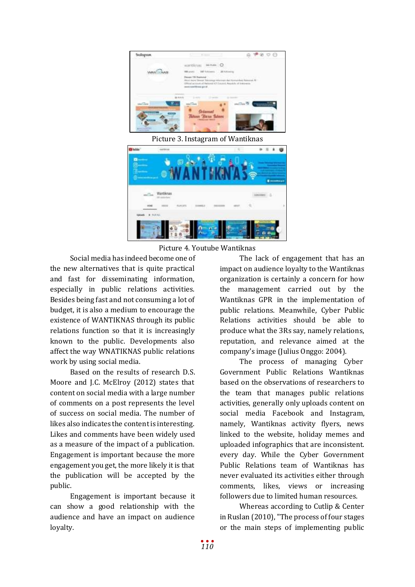

Picture 3. Instagram of Wantiknas

| ٠ |           |  |  |   |      |     |
|---|-----------|--|--|---|------|-----|
|   |           |  |  |   |      |     |
|   |           |  |  |   |      |     |
|   |           |  |  | ۰ |      |     |
|   |           |  |  |   |      | --- |
|   | Wantiknas |  |  |   |      |     |
|   |           |  |  |   | 11 D |     |
|   |           |  |  |   |      | Þ   |
|   |           |  |  |   |      |     |
|   | 科师海上      |  |  |   |      |     |
|   |           |  |  |   |      |     |
|   |           |  |  |   |      |     |
|   |           |  |  |   |      |     |

Picture 4. Youtube Wantiknas

Social media has indeed become one of the new alternatives that is quite practical and fast for disseminating information, especially in public relations activities. Besides being fast and not consuming a lot of budget, it is also a medium to encourage the existence of WANTIKNAS through its public relations function so that it is increasingly known to the public. Developments also affect the way WNATIKNAS public relations work by using social media.

Based on the results of research D.S. Moore and J.C. McElroy (2012) states that content on social media with a large number of comments on a post represents the level of success on social media. The number of likes also indicates the content is interesting. Likes and comments have been widely used as a measure of the impact of a publication. Engagement is important because the more engagement you get, the more likely it is that the publication will be accepted by the public.

Engagement is important because it can show a good relationship with the audience and have an impact on audience loyalty.

The lack of engagement that has an impact on audience loyalty to the Wantiknas organization is certainly a concern for how the management carried out by the Wantiknas GPR in the implementation of public relations. Meanwhile, Cyber Public Relations activities should be able to produce what the 3Rs say, namely relations, reputation, and relevance aimed at the company's image (Julius Onggo: 2004).

The process of managing Cyber Government Public Relations Wantiknas based on the observations of researchers to the team that manages public relations activities, generally only uploads content on social media Facebook and Instagram, namely, Wantiknas activity flyers, news linked to the website, holiday memes and uploaded infographics that are inconsistent. every day. While the Cyber Government Public Relations team of Wantiknas has never evaluated its activities either through comments, likes, views or increasing followers due to limited human resources.

Whereas according to Cutlip & Center in Ruslan (2010), "The process of four stages or the main steps of implementing public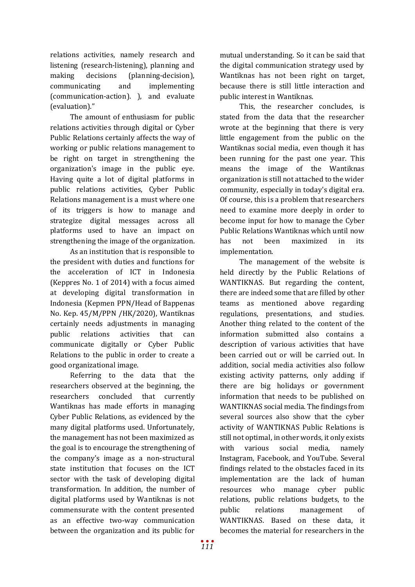relations activities, namely research and listening (research-listening), planning and making decisions (planning-decision), communicating and implementing (communication-action). ), and evaluate (evaluation)."

The amount of enthusiasm for public relations activities through digital or Cyber Public Relations certainly affects the way of working or public relations management to be right on target in strengthening the organization's image in the public eye. Having quite a lot of digital platforms in public relations activities, Cyber Public Relations management is a must where one of its triggers is how to manage and strategize digital messages across all platforms used to have an impact on strengthening the image of the organization.

As an institution that is responsible to the president with duties and functions for the acceleration of ICT in Indonesia (Keppres No. 1 of 2014) with a focus aimed at developing digital transformation in Indonesia (Kepmen PPN/Head of Bappenas No. Kep. 45/M/PPN /HK/2020), Wantiknas certainly needs adjustments in managing public relations activities that can communicate digitally or Cyber Public Relations to the public in order to create a good organizational image.

Referring to the data that the researchers observed at the beginning, the researchers concluded that currently Wantiknas has made efforts in managing Cyber Public Relations, as evidenced by the many digital platforms used. Unfortunately, the management has not been maximized as the goal is to encourage the strengthening of the company's image as a non-structural state institution that focuses on the ICT sector with the task of developing digital transformation. In addition, the number of digital platforms used by Wantiknas is not commensurate with the content presented as an effective two-way communication between the organization and its public for

mutual understanding. So it can be said that the digital communication strategy used by Wantiknas has not been right on target, because there is still little interaction and public interest in Wantiknas.

This, the researcher concludes, is stated from the data that the researcher wrote at the beginning that there is very little engagement from the public on the Wantiknas social media, even though it has been running for the past one year. This means the image of the Wantiknas organization is still not attached to the wider community, especially in today's digital era. Of course, this is a problem that researchers need to examine more deeply in order to become input for how to manage the Cyber Public Relations Wantiknas which until now has not been maximized in its implementation.

The management of the website is held directly by the Public Relations of WANTIKNAS. But regarding the content, there are indeed some that are filled by other teams as mentioned above regarding regulations, presentations, and studies. Another thing related to the content of the information submitted also contains a description of various activities that have been carried out or will be carried out. In addition, social media activities also follow existing activity patterns, only adding if there are big holidays or government information that needs to be published on WANTIKNAS social media. The findings from several sources also show that the cyber activity of WANTIKNAS Public Relations is still not optimal, in other words, it only exists with various social media, namely Instagram, Facebook, and YouTube. Several findings related to the obstacles faced in its implementation are the lack of human resources who manage cyber public relations, public relations budgets, to the public relations management of WANTIKNAS. Based on these data, it becomes the material for researchers in the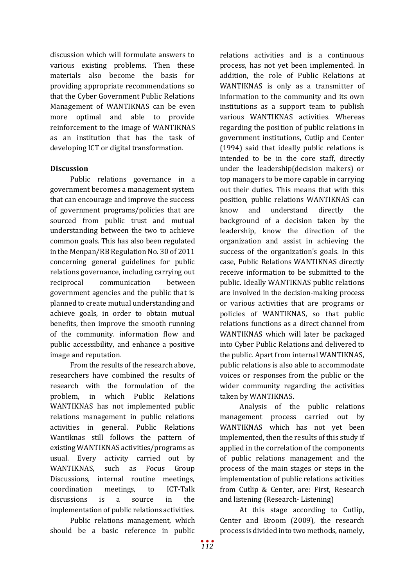discussion which will formulate answers to various existing problems. Then these materials also become the basis for providing appropriate recommendations so that the Cyber Government Public Relations Management of WANTIKNAS can be even more optimal and able to provide reinforcement to the image of WANTIKNAS as an institution that has the task of developing ICT or digital transformation.

# **Discussion**

Public relations governance in a government becomes a management system that can encourage and improve the success of government programs/policies that are sourced from public trust and mutual understanding between the two to achieve common goals. This has also been regulated in the Menpan/RB Regulation No. 30 of 2011 concerning general guidelines for public relations governance, including carrying out reciprocal communication between government agencies and the public that is planned to create mutual understanding and achieve goals, in order to obtain mutual benefits, then improve the smooth running of the community. information flow and public accessibility, and enhance a positive image and reputation.

From the results of the research above, researchers have combined the results of research with the formulation of the problem, in which Public Relations WANTIKNAS has not implemented public relations management in public relations activities in general. Public Relations Wantiknas still follows the pattern of existing WANTIKNAS activities/programs as usual. Every activity carried out by<br>WANTIKNAS, such as Focus Group such as Focus Group Discussions, internal routine meetings, coordination meetings, to ICT-Talk discussions is a source in the implementation of public relations activities.

Public relations management, which should be a basic reference in public

relations activities and is a continuous process, has not yet been implemented. In addition, the role of Public Relations at WANTIKNAS is only as a transmitter of information to the community and its own institutions as a support team to publish various WANTIKNAS activities. Whereas regarding the position of public relations in government institutions, Cutlip and Center (1994) said that ideally public relations is intended to be in the core staff, directly under the leadership(decision makers) or top managers to be more capable in carrying out their duties. This means that with this position, public relations WANTIKNAS can know and understand directly the background of a decision taken by the leadership, know the direction of the organization and assist in achieving the success of the organization's goals. In this case, Public Relations WANTIKNAS directly receive information to be submitted to the public. Ideally WANTIKNAS public relations are involved in the decision-making process or various activities that are programs or policies of WANTIKNAS, so that public relations functions as a direct channel from WANTIKNAS which will later be packaged into Cyber Public Relations and delivered to the public. Apart from internal WANTIKNAS, public relations is also able to accommodate voices or responses from the public or the wider community regarding the activities taken by WANTIKNAS.

Analysis of the public relations management process carried out by WANTIKNAS which has not yet been implemented, then the results of this study if applied in the correlation of the components of public relations management and the process of the main stages or steps in the implementation of public relations activities from Cutlip & Center, are: First, Research and listening (Research- Listening)

At this stage according to Cutlip, Center and Broom (2009), the research process is divided into two methods, namely,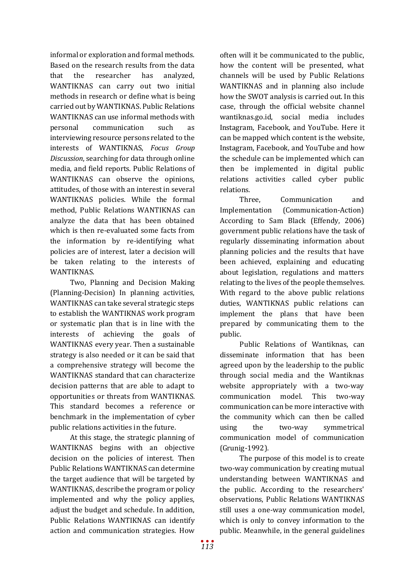informal or exploration and formal methods. Based on the research results from the data that the researcher has analyzed, WANTIKNAS can carry out two initial methods in research or define what is being carried out by WANTIKNAS. Public Relations WANTIKNAS can use informal methods with personal communication such as interviewing resource persons related to the interests of WANTIKNAS, *Focus Group Discussion*, searching for data through online media, and field reports. Public Relations of WANTIKNAS can observe the opinions, attitudes, of those with an interest in several WANTIKNAS policies. While the formal method, Public Relations WANTIKNAS can analyze the data that has been obtained which is then re-evaluated some facts from the information by re-identifying what policies are of interest, later a decision will be taken relating to the interests of WANTIKNAS.

Two, Planning and Decision Making (Planning-Decision) In planning activities, WANTIKNAS can take several strategic steps to establish the WANTIKNAS work program or systematic plan that is in line with the interests of achieving the goals of WANTIKNAS every year. Then a sustainable strategy is also needed or it can be said that a comprehensive strategy will become the WANTIKNAS standard that can characterize decision patterns that are able to adapt to opportunities or threats from WANTIKNAS. This standard becomes a reference or benchmark in the implementation of cyber public relations activities in the future.

At this stage, the strategic planning of WANTIKNAS begins with an objective decision on the policies of interest. Then Public Relations WANTIKNAS can determine the target audience that will be targeted by WANTIKNAS, describe the program or policy implemented and why the policy applies, adjust the budget and schedule. In addition, Public Relations WANTIKNAS can identify action and communication strategies. How

often will it be communicated to the public, how the content will be presented, what channels will be used by Public Relations WANTIKNAS and in planning also include how the SWOT analysis is carried out. In this case, through the official website channel wantiknas.go.id, social media includes Instagram, Facebook, and YouTube. Here it can be mapped which content is the website, Instagram, Facebook, and YouTube and how the schedule can be implemented which can then be implemented in digital public relations activities called cyber public relations.

Three, Communication and<br>Implementation (Communication-Action) (Communication-Action) According to Sam Black (Effendy, 2006) government public relations have the task of regularly disseminating information about planning policies and the results that have been achieved, explaining and educating about legislation, regulations and matters relating to the lives of the people themselves. With regard to the above public relations duties, WANTIKNAS public relations can implement the plans that have been prepared by communicating them to the public.

Public Relations of Wantiknas, can disseminate information that has been agreed upon by the leadership to the public through social media and the Wantiknas website appropriately with a two-way communication model. This two-way communication can be more interactive with the community which can then be called using the two-way symmetrical communication model of communication (Grunig-1992).

The purpose of this model is to create two-way communication by creating mutual understanding between WANTIKNAS and the public. According to the researchers' observations, Public Relations WANTIKNAS still uses a one-way communication model, which is only to convey information to the public. Meanwhile, in the general guidelines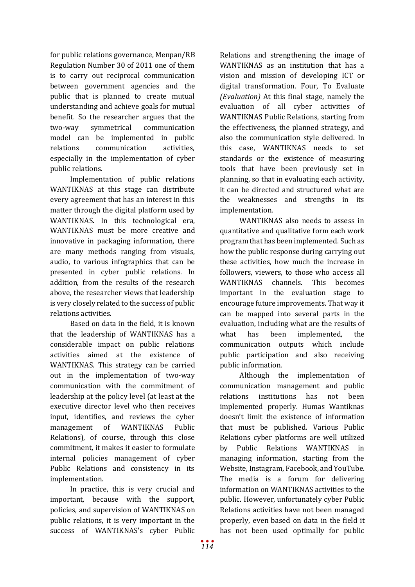for public relations governance, Menpan/RB Regulation Number 30 of 2011 one of them is to carry out reciprocal communication between government agencies and the public that is planned to create mutual understanding and achieve goals for mutual benefit. So the researcher argues that the two-way symmetrical communication model can be implemented in public relations communication activities, especially in the implementation of cyber public relations.

Implementation of public relations WANTIKNAS at this stage can distribute every agreement that has an interest in this matter through the digital platform used by WANTIKNAS. In this technological era, WANTIKNAS must be more creative and innovative in packaging information, there are many methods ranging from visuals, audio, to various infographics that can be presented in cyber public relations. In addition, from the results of the research above, the researcher views that leadership is very closely related to the success of public relations activities.

Based on data in the field, it is known that the leadership of WANTIKNAS has a considerable impact on public relations activities aimed at the existence of WANTIKNAS. This strategy can be carried out in the implementation of two-way communication with the commitment of leadership at the policy level (at least at the executive director level who then receives input, identifies, and reviews the cyber management of WANTIKNAS Public Relations), of course, through this close commitment, it makes it easier to formulate internal policies management of cyber Public Relations and consistency in its implementation.

In practice, this is very crucial and important, because with the support, policies, and supervision of WANTIKNAS on public relations, it is very important in the success of WANTIKNAS's cyber Public

Relations and strengthening the image of WANTIKNAS as an institution that has a vision and mission of developing ICT or digital transformation. Four, To Evaluate *(Evaluation)* At this final stage, namely the evaluation of all cyber activities of WANTIKNAS Public Relations, starting from the effectiveness, the planned strategy, and also the communication style delivered. In this case, WANTIKNAS needs to set standards or the existence of measuring tools that have been previously set in planning, so that in evaluating each activity, it can be directed and structured what are the weaknesses and strengths in its implementation.

WANTIKNAS also needs to assess in quantitative and qualitative form each work program that has been implemented. Such as how the public response during carrying out these activities, how much the increase in followers, viewers, to those who access all WANTIKNAS channels. This becomes important in the evaluation stage to encourage future improvements. That way it can be mapped into several parts in the evaluation, including what are the results of what has been implemented, the communication outputs which include public participation and also receiving public information.

Although the implementation of communication management and public relations institutions has not been implemented properly. Humas Wantiknas doesn't limit the existence of information that must be published. Various Public Relations cyber platforms are well utilized by Public Relations WANTIKNAS in managing information, starting from the Website, Instagram, Facebook, and YouTube. The media is a forum for delivering information on WANTIKNAS activities to the public. However, unfortunately cyber Public Relations activities have not been managed properly, even based on data in the field it has not been used optimally for public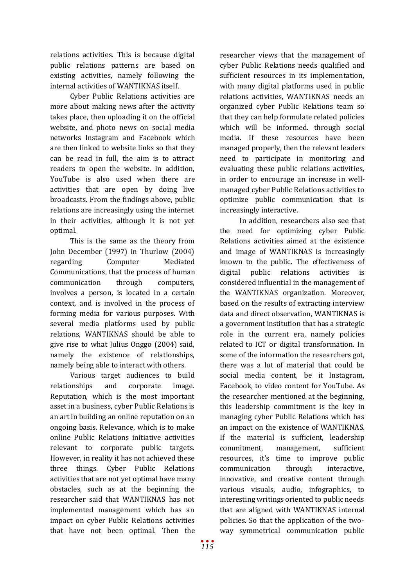relations activities. This is because digital public relations patterns are based on existing activities, namely following the internal activities of WANTIKNAS itself.

Cyber Public Relations activities are more about making news after the activity takes place, then uploading it on the official website, and photo news on social media networks Instagram and Facebook which are then linked to website links so that they can be read in full, the aim is to attract readers to open the website. In addition, YouTube is also used when there are activities that are open by doing live broadcasts. From the findings above, public relations are increasingly using the internet in their activities, although it is not yet optimal.

This is the same as the theory from John December (1997) in Thurlow (2004) regarding Computer Mediated Communications, that the process of human communication through computers, involves a person, is located in a certain context, and is involved in the process of forming media for various purposes. With several media platforms used by public relations, WANTIKNAS should be able to give rise to what Julius Onggo (2004) said, namely the existence of relationships, namely being able to interact with others.

Various target audiences to build relationships and corporate image. Reputation, which is the most important asset in a business, cyber Public Relations is an art in building an online reputation on an ongoing basis. Relevance, which is to make online Public Relations initiative activities relevant to corporate public targets. However, in reality it has not achieved these three things. Cyber Public Relations activities that are not yet optimal have many obstacles, such as at the beginning the researcher said that WANTIKNAS has not implemented management which has an impact on cyber Public Relations activities that have not been optimal. Then the

managed properly, then the relevant leaders need to participate in monitoring and evaluating these public relations activities, in order to encourage an increase in wellmanaged cyber Public Relations activities to optimize public communication that is increasingly interactive. In addition, researchers also see that the need for optimizing cyber Public Relations activities aimed at the existence and image of WANTIKNAS is increasingly known to the public. The effectiveness of digital public relations activities is

researcher views that the management of cyber Public Relations needs qualified and sufficient resources in its implementation, with many digital platforms used in public relations activities, WANTIKNAS needs an organized cyber Public Relations team so that they can help formulate related policies which will be informed. through social media. If these resources have been

considered influential in the management of the WANTIKNAS organization. Moreover, based on the results of extracting interview data and direct observation, WANTIKNAS is a government institution that has a strategic role in the current era, namely policies related to ICT or digital transformation. In some of the information the researchers got, there was a lot of material that could be social media content, be it Instagram, Facebook, to video content for YouTube. As the researcher mentioned at the beginning, this leadership commitment is the key in managing cyber Public Relations which has an impact on the existence of WANTIKNAS. If the material is sufficient, leadership commitment, management, sufficient resources, it's time to improve public communication through interactive, innovative, and creative content through various visuals, audio, infographics, to interesting writings oriented to public needs that are aligned with WANTIKNAS internal policies. So that the application of the twoway symmetrical communication public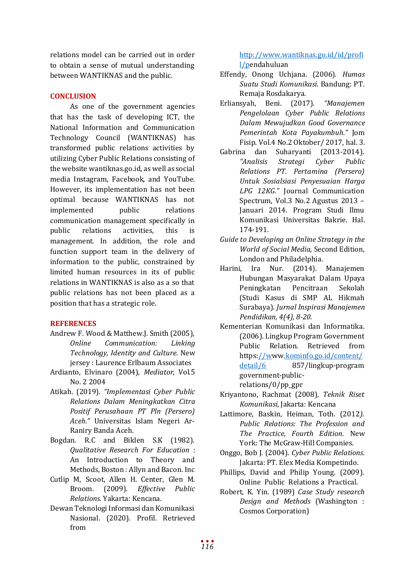relations model can be carried out in order to obtain a sense of mutual understanding between WANTIKNAS and the public.

# **CONCLUSION**

As one of the government agencies that has the task of developing ICT, the National Information and Communication Technology Council (WANTIKNAS) has transformed public relations activities by utilizing Cyber Public Relations consisting of the website wantiknas.go.id, as well as social media Instagram, Facebook, and YouTube. However, its implementation has not been optimal because WANTIKNAS has not implemented public relations communication management specifically in public relations activities, this is management. In addition, the role and function support team in the delivery of information to the public, constrained by limited human resources in its of public relations in WANTIKNAS is also as a so that public relations has not been placed as a position that has a strategic role.

## **REFERENCES**

- Andrew F. Wood & Matthew.J. Smith (2005), *Online Communication: Linking Technology, Identity and Culture.* New jersey : Laurence Erlbaum Associates
- Ardianto, Elvinaro (2004), *Mediator*, Vol.5 No. 2 2004
- Atikah. (2019). *"Implementasi Cyber Public Relations Dalam Meningkatkan Citra Positif Perusahaan PT Pln (Persero) Aceh."* Universitas Islam Negeri Ar-Raniry Banda Aceh.
- Bogdan. R.C and Biklen S.K (1982). *Qualitative Research For Education* : An Introduction to Theory and Methods, Boston : Allyn and Bacon. Inc
- Cutlip M, Scoot, Allen H. Center, Glen M. Broom. (2009). *Effective Public Relations.* Yakarta: Kencana.
- Dewan Teknologi Informasi dan Komunikasi Nasional. (2020). Profil. Retrieved from

[http://www.wantiknas.go.id/id/profi](http://www.wantiknas.go.id/id/profil/p) [l/pe](http://www.wantiknas.go.id/id/profil/p)ndahuluan

- Effendy, Onong Uchjana. (2006). *Humas Suatu Studi Komunikasi*. Bandung: PT. Remaja Rosdakarya.
- Erliansyah, Beni. (2017). *"Manajemen Pengelolaan Cyber Public Relations Dalam Mewujudkan Good Governance Pemerintah Kota Payakumbuh."* Jom Fisip. Vol.4 No.2 Oktober/ 2017, hal. 3.<br>Gabrina dan Suharvanti (2013-2014).
- na dan Suharyanti (2013-2014).<br>*"Analisis Strategi Cyber Public "Analisis Strategi Cyber Public Relations PT. Pertamina (Persero) Untuk Sosialsiasi Penyesuaian Harga LPG 12KG."* Journal Communication Spectrum, Vol.3 No.2 Agustus 2013 – Januari 2014. Program Studi Ilmu Komunikasi Universitas Bakrie. Hal. 174-191.
- *Guide to Developing an Online Strategy in the World of Social Media*, Second Edition,
- London and Philadelphia.<br>Harini, Ira Nur. (2014).  $(2014)$ . Manajemen Hubungan Masyarakat Dalam Upaya Peningkatan Pencitraan Sekolah (Studi Kasus di SMP AL Hikmah Surabaya). *Jurnal Inspirasi Manajemen Pendidikan, 4(4), 8-20.*
- Kementerian Komunikasi dan Informatika. (2006). Lingkup Program Government Public Relation. Retrieved from https[://www.kominfo.go.id/content/](http://www.kominfo.go.id/content/detail/6)<br>detail/6 857/lingkup-program 857/lingkup-program government-publicrelations/0/pp\_gpr
- Kriyantono, Rachmat (2008), *Teknik Riset Komunikasi*, Jakarta: Kencana
- Lattimore, Baskin, Heiman, Toth. (2012*). Public Relations: The Profession and The Practice, Fourth Edition*. New York: The McGraw-Hill Companies.
- Onggo, Bob J. (2004). *Cyber Public Relations*. Jakarta: PT. Elex Media Kompetindo.
- Phillips, David and Philip Young. (2009). Online Public Relations a Practical.
- Robert, K. Yin. (1989) *Case Study research Design and Methods* (Washington : Cosmos Corporation)